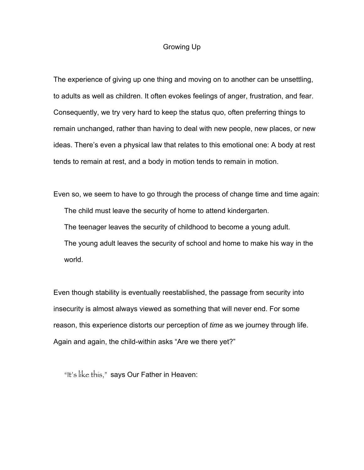## Growing Up

The experience of giving up one thing and moving on to another can be unsettling, to adults as well as children. It often evokes feelings of anger, frustration, and fear. Consequently, we try very hard to keep the status quo, often preferring things to remain unchanged, rather than having to deal with new people, new places, or new ideas. There's even a physical law that relates to this emotional one: A body at rest tends to remain at rest, and a body in motion tends to remain in motion.

Even so, we seem to have to go through the process of change time and time again: The child must leave the security of home to attend kindergarten. The teenager leaves the security of childhood to become a young adult. The young adult leaves the security of school and home to make his way in the world.

Even though stability is eventually reestablished, the passage from security into insecurity is almost always viewed as something that will never end. For some reason, this experience distorts our perception of *time* as we journey through life. Again and again, the child-within asks "Are we there yet?"

"It's like this," says Our Father in Heaven: